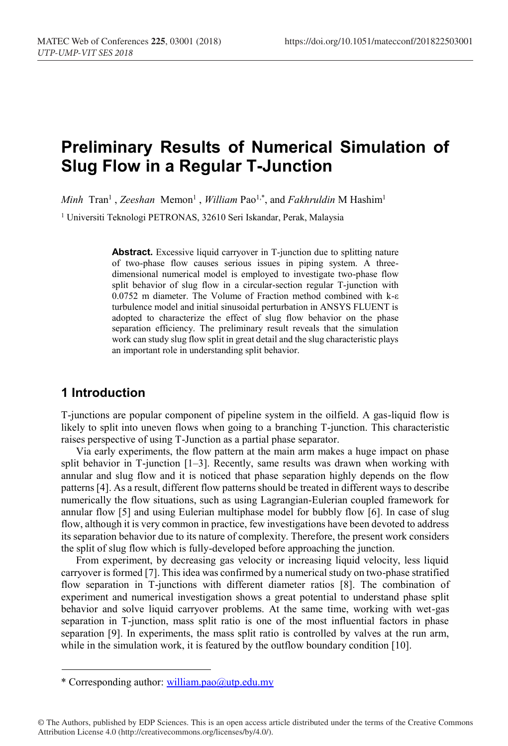# **Preliminary Results of Numerical Simulation of Slug Flow in a Regular T-Junction**

*Minh* Tran<sup>1</sup>, *Zeeshan* Memon<sup>1</sup>, *William* Pao<sup>1,\*</sup>, and *Fakhruldin* M Hashim<sup>1</sup>

<sup>1</sup> Universiti Teknologi PETRONAS, 32610 Seri Iskandar, Perak, Malaysia

**Abstract.** Excessive liquid carryover in T-junction due to splitting nature of two-phase flow causes serious issues in piping system. A threedimensional numerical model is employed to investigate two-phase flow split behavior of slug flow in a circular-section regular T-junction with 0.0752 m diameter. The Volume of Fraction method combined with k-ε turbulence model and initial sinusoidal perturbation in ANSYS FLUENT is adopted to characterize the effect of slug flow behavior on the phase separation efficiency. The preliminary result reveals that the simulation work can study slug flow split in great detail and the slug characteristic plays an important role in understanding split behavior.

### **1 Introduction**

T-junctions are popular component of pipeline system in the oilfield. A gas-liquid flow is likely to split into uneven flows when going to a branching T-junction. This characteristic raises perspective of using T-Junction as a partial phase separator.

Via early experiments, the flow pattern at the main arm makes a huge impact on phase split behavior in T-junction  $[1-3]$ . Recently, same results was drawn when working with annular and slug flow and it is noticed that phase separation highly depends on the flow patterns [4]. As a result, different flow patterns should be treated in different ways to describe numerically the flow situations, such as using Lagrangian-Eulerian coupled framework for annular flow [5] and using Eulerian multiphase model for bubbly flow [6]. In case of slug flow, although it is very common in practice, few investigations have been devoted to address its separation behavior due to its nature of complexity. Therefore, the present work considers the split of slug flow which is fully-developed before approaching the junction.

From experiment, by decreasing gas velocity or increasing liquid velocity, less liquid carryover is formed [7]. This idea was confirmed by a numerical study on two-phase stratified flow separation in T-junctions with different diameter ratios [8]. The combination of experiment and numerical investigation shows a great potential to understand phase split behavior and solve liquid carryover problems. At the same time, working with wet-gas separation in T-junction, mass split ratio is one of the most influential factors in phase separation [9]. In experiments, the mass split ratio is controlled by valves at the run arm, while in the simulation work, it is featured by the outflow boundary condition [10].

<sup>\*</sup> Corresponding author: william.pao@utp.edu.my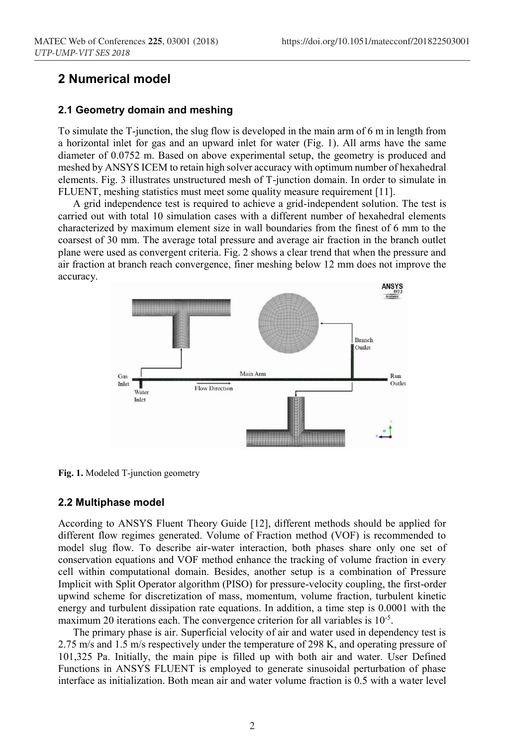### **2 Numerical model**

### **2.1 Geometry domain and meshing**

To simulate the T-junction, the slug flow is developed in the main arm of 6 m in length from a horizontal inlet for gas and an upward inlet for water (Fig. 1). All arms have the same diameter of 0.0752 m. Based on above experimental setup, the geometry is produced and meshed by ANSYS ICEM to retain high solver accuracy with optimum number of hexahedral elements. Fig. 3 illustrates unstructured mesh of T-junction domain. In order to simulate in FLUENT, meshing statistics must meet some quality measure requirement [11].

A grid independence test is required to achieve a grid-independent solution. The test is carried out with total 10 simulation cases with a different number of hexahedral elements characterized by maximum element size in wall boundaries from the finest of 6 mm to the coarsest of 30 mm. The average total pressure and average air fraction in the branch outlet plane were used as convergent criteria. Fig. 2 shows a clear trend that when the pressure and air fraction at branch reach convergence, finer meshing below 12 mm does not improve the accuracy.



**Fig. 1.** Modeled T-junction geometry

#### **2.2 Multiphase model**

According to ANSYS Fluent Theory Guide [12], different methods should be applied for different flow regimes generated. Volume of Fraction method (VOF) is recommended to model slug flow. To describe air-water interaction, both phases share only one set of conservation equations and VOF method enhance the tracking of volume fraction in every cell within computational domain. Besides, another setup is a combination of Pressure Implicit with Split Operator algorithm (PISO) for pressure-velocity coupling, the first-order upwind scheme for discretization of mass, momentum, volume fraction, turbulent kinetic energy and turbulent dissipation rate equations. In addition, a time step is 0.0001 with the maximum 20 iterations each. The convergence criterion for all variables is 10<sup>-5</sup>.

The primary phase is air. Superficial velocity of air and water used in dependency test is 2.75 m/s and 1.5 m/s respectively under the temperature of 298 K, and operating pressure of 101,325 Pa. Initially, the main pipe is filled up with both air and water. User Defined Functions in ANSYS FLUENT is employed to generate sinusoidal perturbation of phase interface as initialization. Both mean air and water volume fraction is 0.5 with a water level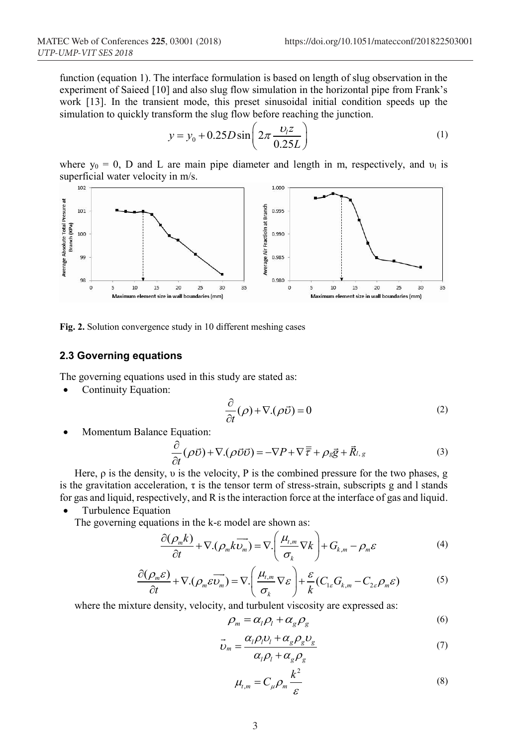function (equation 1). The interface formulation is based on length of slug observation in the experiment of Saieed [10] and also slug flow simulation in the horizontal pipe from Frank's work [13]. In the transient mode, this preset sinusoidal initial condition speeds up the simulation to quickly transform the slug flow before reaching the junction.

$$
y = y_0 + 0.25D\sin\left(2\pi \frac{v_1 z}{0.25L}\right)
$$
 (1)

where  $y_0 = 0$ , D and L are main pipe diameter and length in m, respectively, and  $v_1$  is superficial water velocity in  $m/s$ .



**Fig. 2.** Solution convergence study in 10 different meshing cases

### **2.3 Governing equations**

The governing equations used in this study are stated as:

Continuity Equation:

$$
\frac{\partial}{\partial t}(\rho) + \nabla \cdot (\rho \vec{\nu}) = 0 \tag{2}
$$

Momentum Balance Equation:

$$
\frac{\partial}{\partial t}(\rho \vec{v}) + \nabla \cdot (\rho \vec{v} \vec{v}) = -\nabla P + \nabla \overline{\overline{t}} + \rho_{g} \vec{g} + \vec{R}_{l,g}
$$
(3)

Here,  $\rho$  is the density,  $\nu$  is the velocity, P is the combined pressure for the two phases, g is the gravitation acceleration,  $\tau$  is the tensor term of stress-strain, subscripts g and l stands for gas and liquid, respectively, and R is the interaction force at the interface of gas and liquid.

• Turbulence Equation

The governing equations in the k-ε model are shown as:

$$
\frac{\partial(\rho_m k)}{\partial t} + \nabla \cdot (\rho_m k \overrightarrow{\nu_m}) = \nabla \cdot \left(\frac{\mu_{\ell,m}}{\sigma_k} \nabla k\right) + G_{k,m} - \rho_m \varepsilon \tag{4}
$$

$$
\frac{\partial(\rho_m \varepsilon)}{\partial t} + \nabla \cdot (\rho_m \varepsilon \overrightarrow{v_m}) = \nabla \cdot \left(\frac{\mu_{t,m}}{\sigma_k} \nabla \varepsilon\right) + \frac{\varepsilon}{k} (C_{1\varepsilon} G_{k,m} - C_{2\varepsilon} \rho_m \varepsilon)
$$
(5)

where the mixture density, velocity, and turbulent viscosity are expressed as:

$$
\rho_m = \alpha_l \rho_l + \alpha_g \rho_g \tag{6}
$$

$$
\vec{v}_m = \frac{\alpha_l \rho_l v_l + \alpha_g \rho_g v_g}{\alpha_l \rho_l + \alpha_g \rho_g} \tag{7}
$$

$$
\mu_{t,m} = C_{\mu} \rho_m \frac{k^2}{\varepsilon} \tag{8}
$$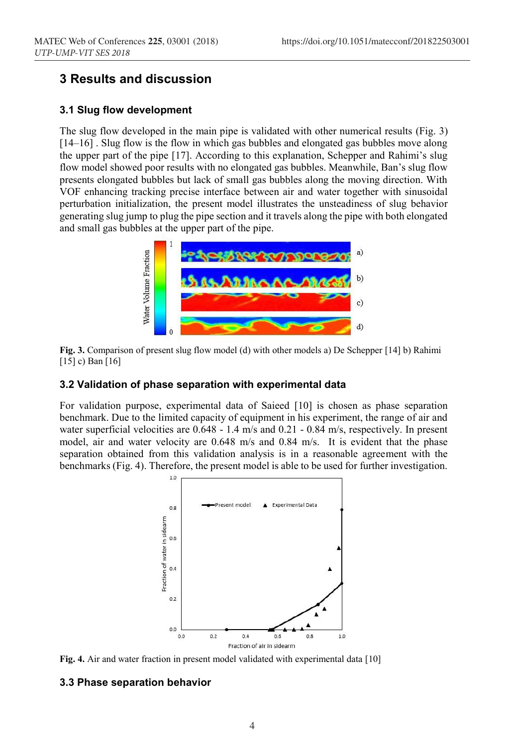## **3 Results and discussion**

### **3.1 Slug flow development**

The slug flow developed in the main pipe is validated with other numerical results (Fig. 3) [14–16] . Slug flow is the flow in which gas bubbles and elongated gas bubbles move along the upper part of the pipe [17]. According to this explanation, Schepper and Rahimi's slug flow model showed poor results with no elongated gas bubbles. Meanwhile, Ban's slug flow presents elongated bubbles but lack of small gas bubbles along the moving direction. With VOF enhancing tracking precise interface between air and water together with sinusoidal perturbation initialization, the present model illustrates the unsteadiness of slug behavior generating slug jump to plug the pipe section and it travels along the pipe with both elongated and small gas bubbles at the upper part of the pipe.



**Fig. 3.** Comparison of present slug flow model (d) with other models a) De Schepper [14] b) Rahimi [15] c) Ban [16]

### **3.2 Validation of phase separation with experimental data**

For validation purpose, experimental data of Saieed [10] is chosen as phase separation benchmark. Due to the limited capacity of equipment in his experiment, the range of air and water superficial velocities are 0.648 - 1.4 m/s and 0.21 - 0.84 m/s, respectively. In present model, air and water velocity are 0.648 m/s and 0.84 m/s. It is evident that the phase separation obtained from this validation analysis is in a reasonable agreement with the benchmarks (Fig. 4). Therefore, the present model is able to be used for further investigation.



**Fig. 4.** Air and water fraction in present model validated with experimental data [10]

#### **3.3 Phase separation behavior**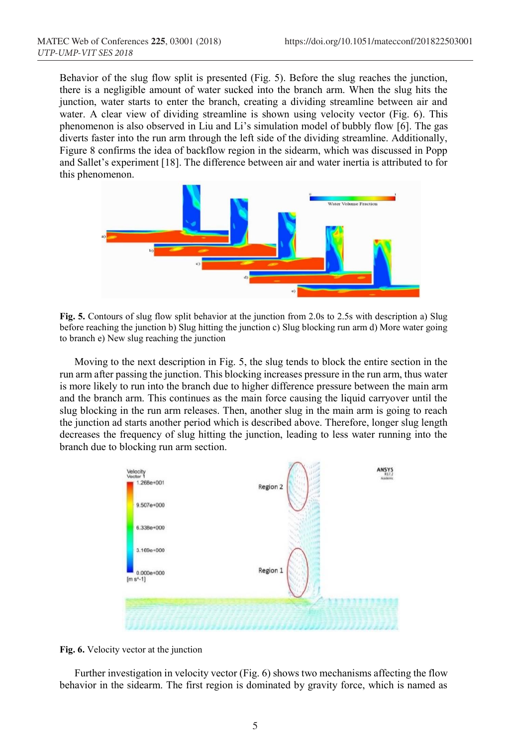Behavior of the slug flow split is presented (Fig. 5). Before the slug reaches the junction, there is a negligible amount of water sucked into the branch arm. When the slug hits the junction, water starts to enter the branch, creating a dividing streamline between air and water. A clear view of dividing streamline is shown using velocity vector (Fig. 6). This phenomenon is also observed in Liu and Li's simulation model of bubbly flow [6]. The gas diverts faster into the run arm through the left side of the dividing streamline. Additionally, Figure 8 confirms the idea of backflow region in the sidearm, which was discussed in Popp and Sallet's experiment [18]. The difference between air and water inertia is attributed to for this phenomenon.



**Fig. 5.** Contours of slug flow split behavior at the junction from 2.0s to 2.5s with description a) Slug before reaching the junction b) Slug hitting the junction c) Slug blocking run arm d) More water going to branch e) New slug reaching the junction

Moving to the next description in Fig. 5, the slug tends to block the entire section in the run arm after passing the junction. This blocking increases pressure in the run arm, thus water is more likely to run into the branch due to higher difference pressure between the main arm and the branch arm. This continues as the main force causing the liquid carryover until the slug blocking in the run arm releases. Then, another slug in the main arm is going to reach the junction ad starts another period which is described above. Therefore, longer slug length decreases the frequency of slug hitting the junction, leading to less water running into the branch due to blocking run arm section.



**Fig. 6.** Velocity vector at the junction

Further investigation in velocity vector (Fig. 6) shows two mechanisms affecting the flow behavior in the sidearm. The first region is dominated by gravity force, which is named as